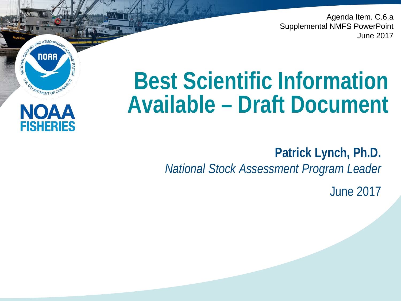Agenda Item. C.6.a Supplemental NMFS PowerPoint June 2017

# **Best Scientific Information Available – Draft Document**

**NOAA** 

OFPARTMENT OF COM

NOAA

**FISHERIES** 

NATIONAL

**Patrick Lynch, Ph.D.** *National Stock Assessment Program Leader*

June 2017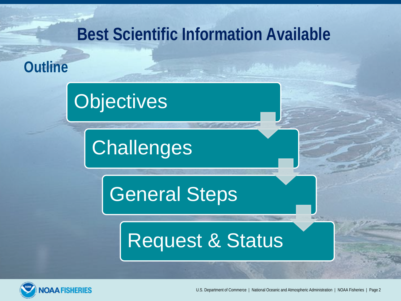#### **Best Scientific Information Available**

**Outline**

# **Objectives**

**Challenges** 

General Steps

# Request & Status

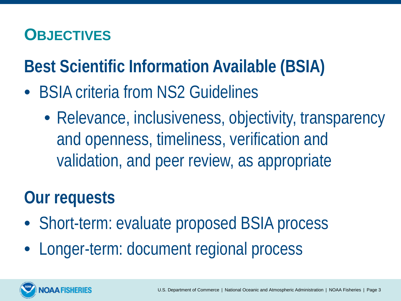#### **OBJECTIVES**

# **Best Scientific Information Available (BSIA)**

- BSIA criteria from NS2 Guidelines
	- Relevance, inclusiveness, objectivity, transparency and openness, timeliness, verification and validation, and peer review, as appropriate

### **Our requests**

- Short-term: evaluate proposed BSIA process
- Longer-term: document regional process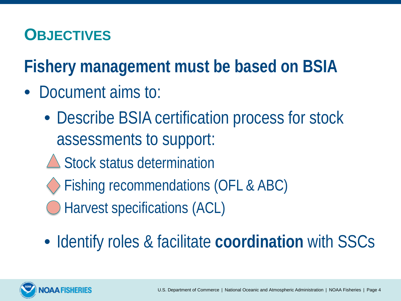#### **OBJECTIVES**

**Fishery management must be based on BSIA**

- Document aims to:
	- Describe BSIA certification process for stock assessments to support:
	- **△ Stock status determination**
	- Fishing recommendations (OFL & ABC)
	- Harvest specifications (ACL)
	- Identify roles & facilitate **coordination** with SSCs

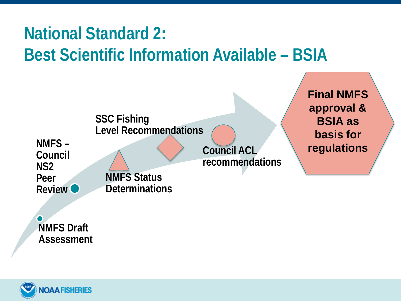# **National Standard 2: Best Scientific Information Available – BSIA**



**Assessment** 

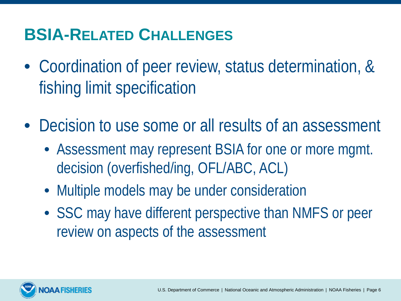#### **BSIA-RELATED CHALLENGES**

- Coordination of peer review, status determination, & fishing limit specification
- Decision to use some or all results of an assessment
	- Assessment may represent BSIA for one or more mgmt. decision (overfished/ing, OFL/ABC, ACL)
	- Multiple models may be under consideration
	- SSC may have different perspective than NMFS or peer review on aspects of the assessment

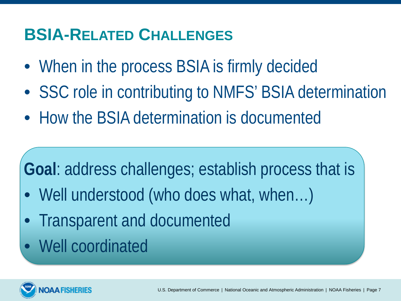#### **BSIA-RELATED CHALLENGES**

- When in the process BSIA is firmly decided
- SSC role in contributing to NMFS' BSIA determination
- How the BSIA determination is documented

# **Goal**: address challenges; establish process that is

- Well understood (who does what, when...)
- Transparent and documented
- Well coordinated

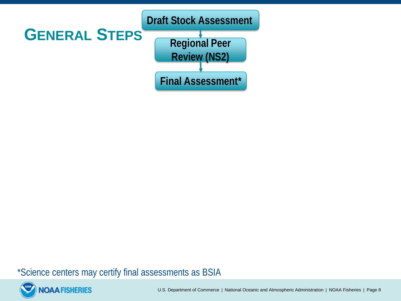

\*Science centers may certify final assessments as BSIA

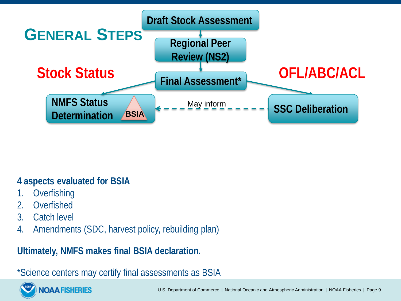

#### **4 aspects evaluated for BSIA**

- **Overfishing**
- 2. Overfished
- 3. Catch level
- 4. Amendments (SDC, harvest policy, rebuilding plan)

**Ultimately, NMFS makes final BSIA declaration.**

\*Science centers may certify final assessments as BSIA

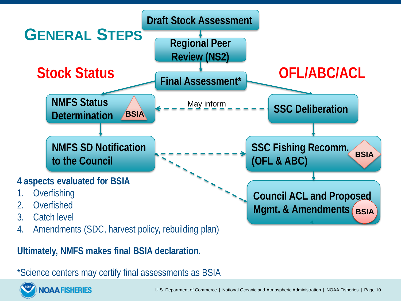

\*Science centers may certify final assessments as BSIA

**OAA FISHERIES**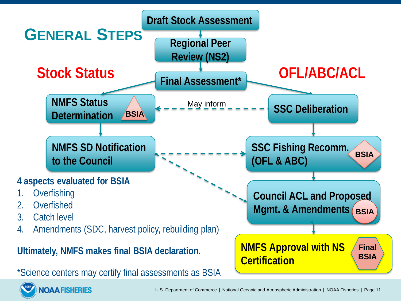

U.S. Department of Commerce | National Oceanic and Atmospheric Administration | NOAA Fisheries | Page 11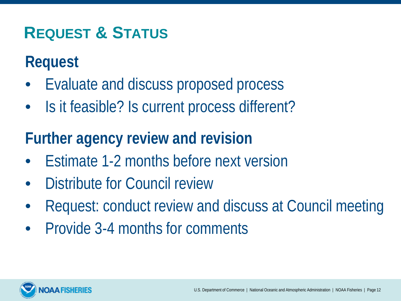#### **REQUEST & STATUS**

#### **Request**

- Evaluate and discuss proposed process
- Is it feasible? Is current process different?

#### **Further agency review and revision**

- Estimate 1-2 months before next version
- Distribute for Council review
- Request: conduct review and discuss at Council meeting
- Provide 3-4 months for comments

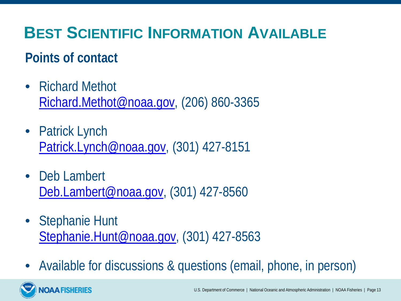#### **BEST SCIENTIFIC INFORMATION AVAILABLE**

#### **Points of contact**

**OAA FISHERIES** 

- Richard Methot [Richard.Methot@noaa.gov,](mailto:Richard.Methot@noaa.gov) (206) 860-3365
- Patrick Lynch [Patrick.Lynch@noaa.gov,](mailto:Patrick.Lynch@noaa.gov) (301) 427-8151
- Deb Lambert [Deb.Lambert@noaa.gov,](mailto:Debra.Lamber@noaa.gov) (301) 427-8560
- Stephanie Hunt [Stephanie.Hunt@noaa.gov](mailto:Stephanie.Hunt@noaa.gov), (301) 427-8563
- Available for discussions & questions (email, phone, in person)